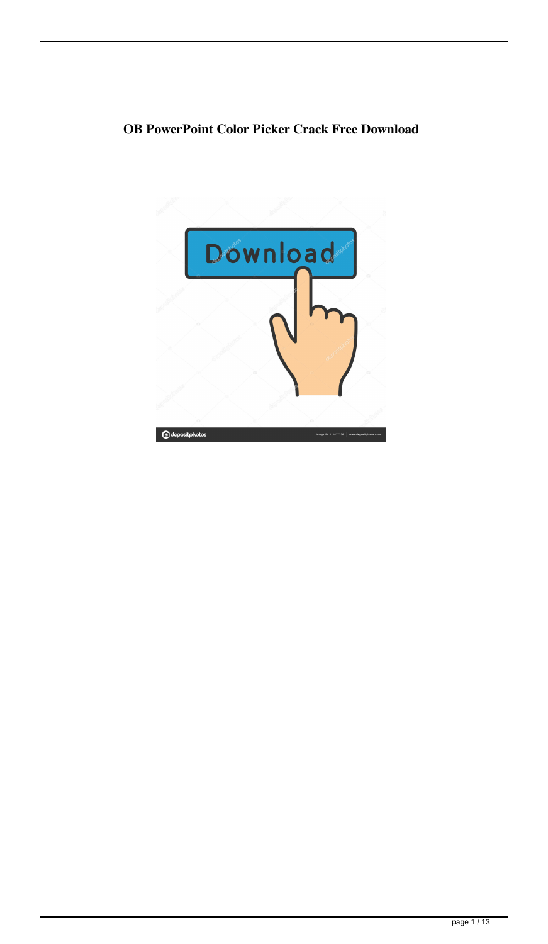## **OB PowerPoint Color Picker Crack Free Download**

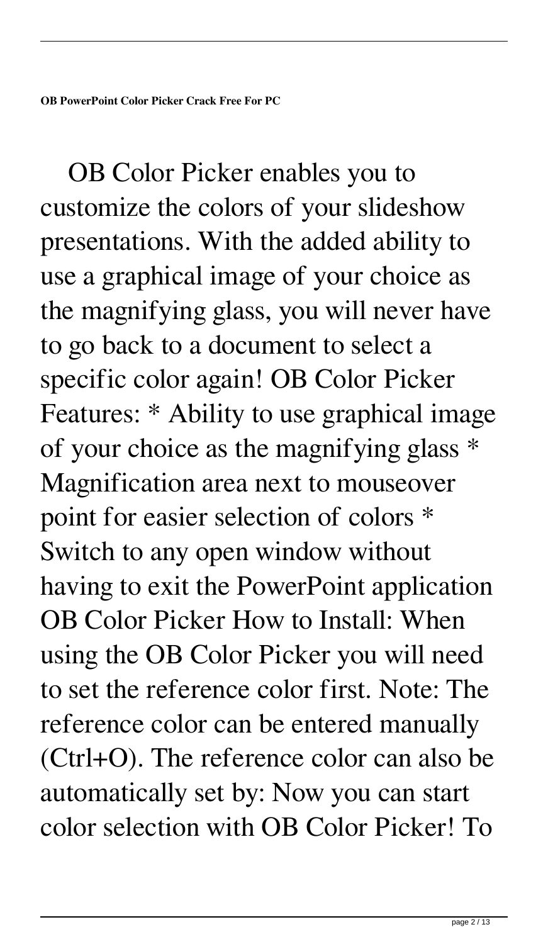**OB PowerPoint Color Picker Crack Free For PC**

 OB Color Picker enables you to customize the colors of your slideshow presentations. With the added ability to use a graphical image of your choice as the magnifying glass, you will never have to go back to a document to select a specific color again! OB Color Picker Features: \* Ability to use graphical image of your choice as the magnifying glass \* Magnification area next to mouseover point for easier selection of colors \* Switch to any open window without having to exit the PowerPoint application OB Color Picker How to Install: When using the OB Color Picker you will need to set the reference color first. Note: The reference color can be entered manually (Ctrl+O). The reference color can also be automatically set by: Now you can start color selection with OB Color Picker! To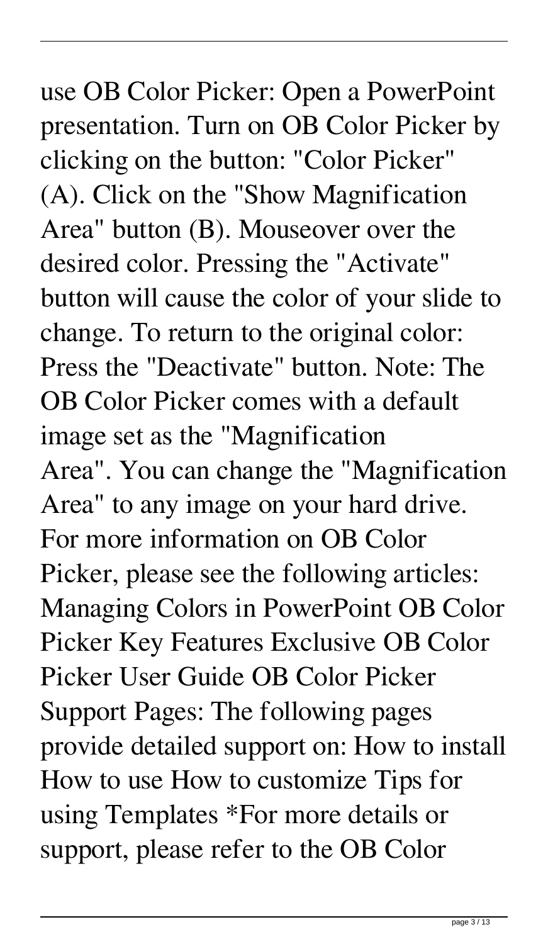use OB Color Picker: Open a PowerPoint presentation. Turn on OB Color Picker by clicking on the button: "Color Picker" (A). Click on the "Show Magnification Area" button (B). Mouseover over the desired color. Pressing the "Activate" button will cause the color of your slide to change. To return to the original color: Press the "Deactivate" button. Note: The OB Color Picker comes with a default image set as the "Magnification Area". You can change the "Magnification Area" to any image on your hard drive. For more information on OB Color Picker, please see the following articles: Managing Colors in PowerPoint OB Color Picker Key Features Exclusive OB Color Picker User Guide OB Color Picker Support Pages: The following pages provide detailed support on: How to install How to use How to customize Tips for using Templates \*For more details or support, please refer to the OB Color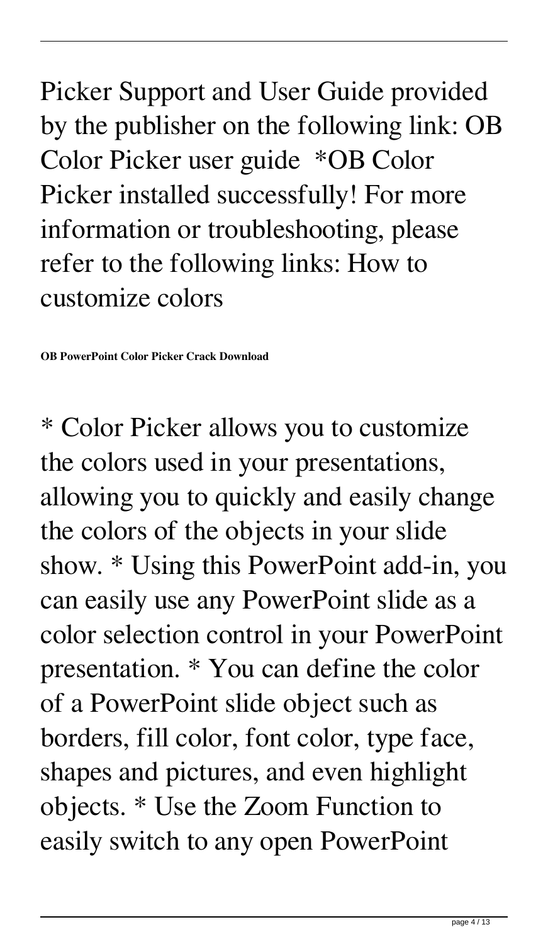Picker Support and User Guide provided by the publisher on the following link: OB Color Picker user guide \*OB Color Picker installed successfully! For more information or troubleshooting, please refer to the following links: How to customize colors

**OB PowerPoint Color Picker Crack Download**

\* Color Picker allows you to customize the colors used in your presentations, allowing you to quickly and easily change the colors of the objects in your slide show. \* Using this PowerPoint add-in, you can easily use any PowerPoint slide as a color selection control in your PowerPoint presentation. \* You can define the color of a PowerPoint slide object such as borders, fill color, font color, type face, shapes and pictures, and even highlight objects. \* Use the Zoom Function to easily switch to any open PowerPoint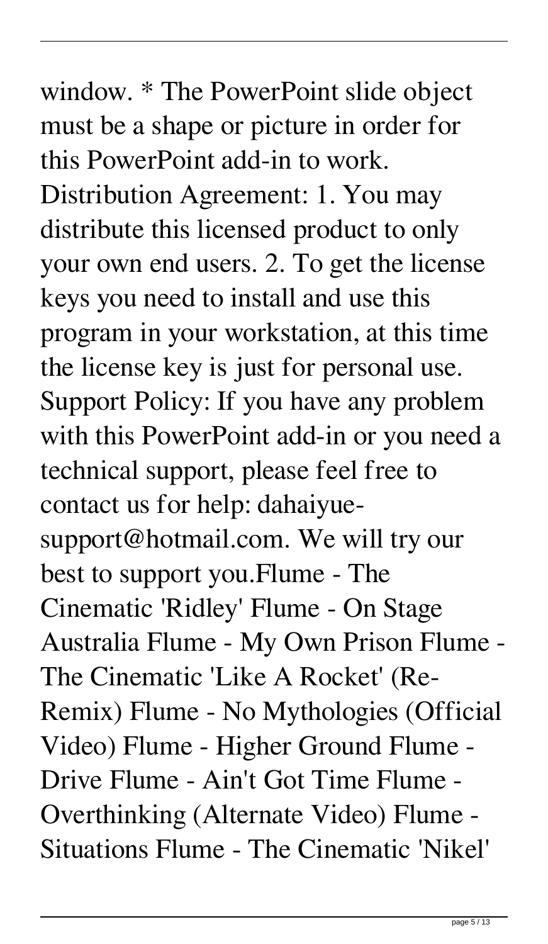window. \* The PowerPoint slide object must be a shape or picture in order for this PowerPoint add-in to work. Distribution Agreement: 1. You may distribute this licensed product to only your own end users. 2. To get the license keys you need to install and use this program in your workstation, at this time the license key is just for personal use. Support Policy: If you have any problem with this PowerPoint add-in or you need a technical support, please feel free to contact us for help: dahaiyuesupport@hotmail.com. We will try our best to support you.Flume - The Cinematic 'Ridley' Flume - On Stage Australia Flume - My Own Prison Flume - The Cinematic 'Like A Rocket' (Re-Remix) Flume - No Mythologies (Official Video) Flume - Higher Ground Flume - Drive Flume - Ain't Got Time Flume - Overthinking (Alternate Video) Flume - Situations Flume - The Cinematic 'Nikel'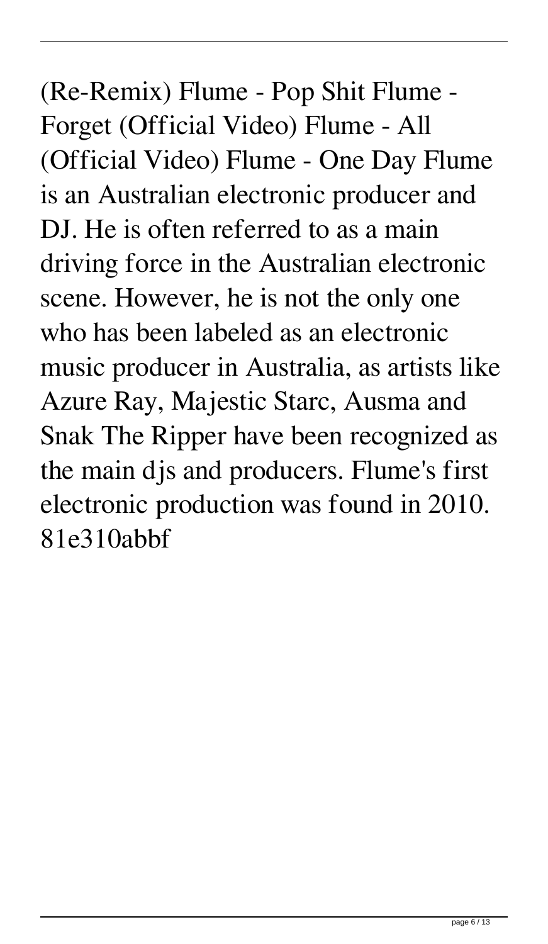(Re-Remix) Flume - Pop Shit Flume - Forget (Official Video) Flume - All (Official Video) Flume - One Day Flume is an Australian electronic producer and DJ. He is often referred to as a main driving force in the Australian electronic scene. However, he is not the only one who has been labeled as an electronic music producer in Australia, as artists like Azure Ray, Majestic Starc, Ausma and Snak The Ripper have been recognized as the main djs and producers. Flume's first electronic production was found in 2010. 81e310abbf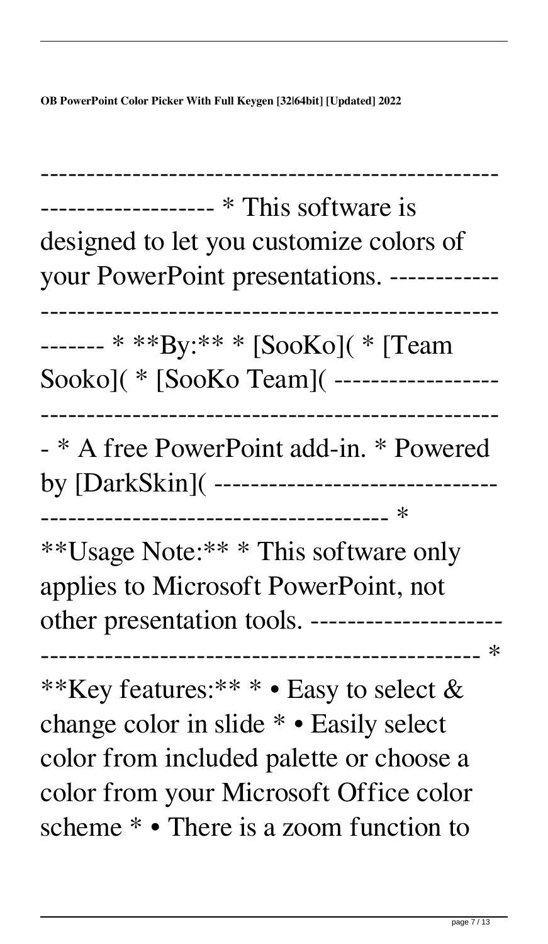**OB PowerPoint Color Picker With Full Keygen [32|64bit] [Updated] 2022**

| designed to let you customize colors of<br>vour PowerPoint presentations. ------------                                                                                                                           |
|------------------------------------------------------------------------------------------------------------------------------------------------------------------------------------------------------------------|
| ------- * **By:** * [SooKo]( * [Team<br>Sooko]( * [SooKo Team]( -----------------                                                                                                                                |
| - * A free PowerPoint add-in. * Powered<br>by [DarkSkin]( ----------------------------                                                                                                                           |
| **Usage Note: ** * This software only<br>applies to Microsoft PowerPoint, not<br>other presentation tools. --------------------<br>$\ast$<br>------------------------                                            |
| **Key features:** * • Easy to select &<br>change color in slide * • Easily select<br>color from included palette or choose a<br>color from your Microsoft Office color<br>scheme * • There is a zoom function to |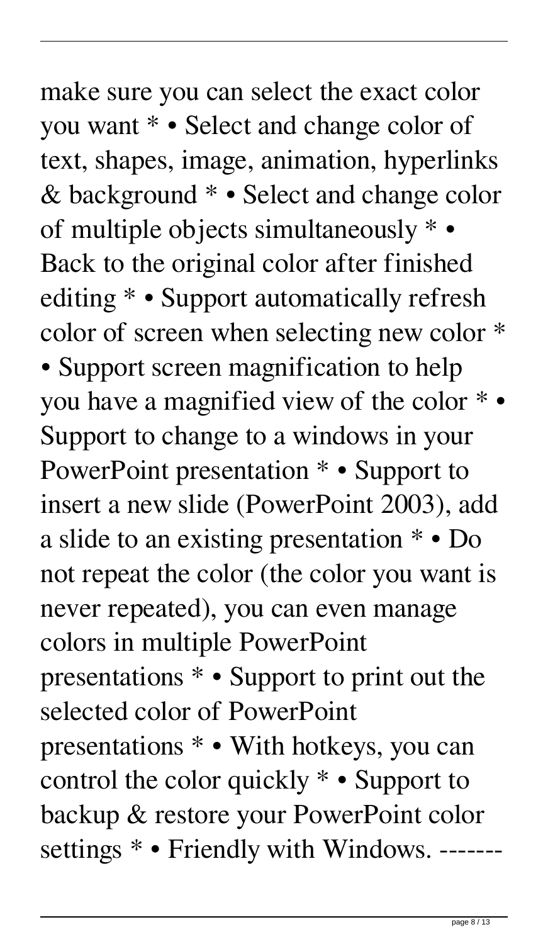make sure you can select the exact color you want \* • Select and change color of text, shapes, image, animation, hyperlinks & background \* • Select and change color of multiple objects simultaneously \* • Back to the original color after finished editing \* • Support automatically refresh color of screen when selecting new color \* • Support screen magnification to help you have a magnified view of the color \* • Support to change to a windows in your PowerPoint presentation \* • Support to insert a new slide (PowerPoint 2003), add a slide to an existing presentation \* • Do not repeat the color (the color you want is never repeated), you can even manage colors in multiple PowerPoint presentations \* • Support to print out the selected color of PowerPoint presentations \* • With hotkeys, you can control the color quickly \* • Support to backup & restore your PowerPoint color settings  $*$  • Friendly with Windows. -------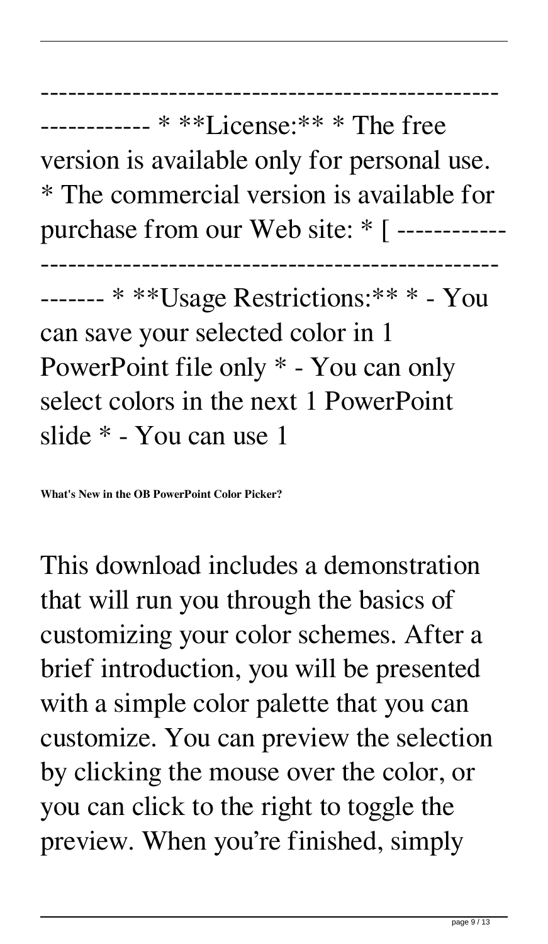-------------------------------------------------- ------------ \* \*\*License:\*\* \* The free version is available only for personal use. \* The commercial version is available for purchase from our Web site: \* [ ------------ -------------------------------------------------- ------- \* \*\*Usage Restrictions:\*\* \* - You can save your selected color in 1 PowerPoint file only \* - You can only

select colors in the next 1 PowerPoint slide \* - You can use 1

**What's New in the OB PowerPoint Color Picker?**

This download includes a demonstration that will run you through the basics of customizing your color schemes. After a brief introduction, you will be presented with a simple color palette that you can customize. You can preview the selection by clicking the mouse over the color, or you can click to the right to toggle the preview. When you're finished, simply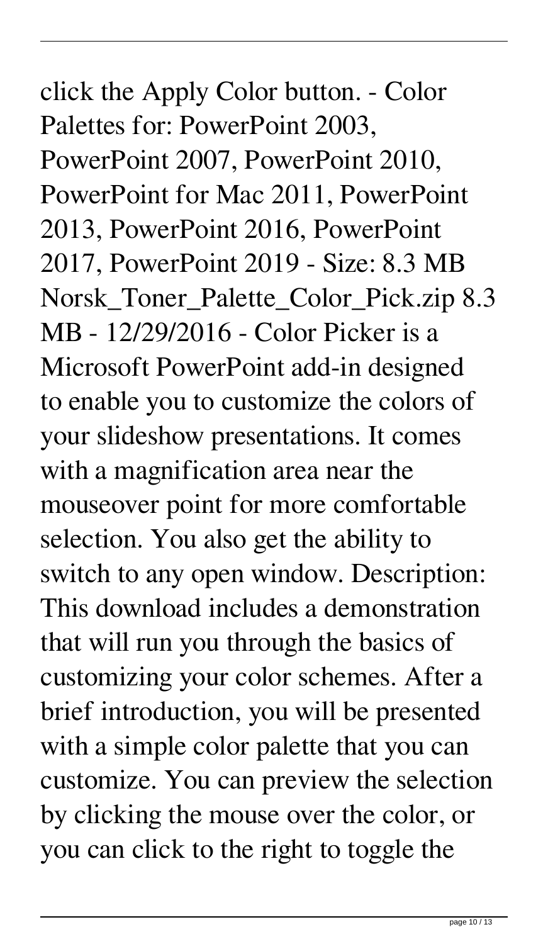## click the Apply Color button. - Color Palettes for: PowerPoint 2003, PowerPoint 2007, PowerPoint 2010, PowerPoint for Mac 2011, PowerPoint 2013, PowerPoint 2016, PowerPoint 2017, PowerPoint 2019 - Size: 8.3 MB Norsk\_Toner\_Palette\_Color\_Pick.zip 8.3 MB - 12/29/2016 - Color Picker is a Microsoft PowerPoint add-in designed to enable you to customize the colors of your slideshow presentations. It comes with a magnification area near the mouseover point for more comfortable selection. You also get the ability to switch to any open window. Description: This download includes a demonstration that will run you through the basics of customizing your color schemes. After a brief introduction, you will be presented with a simple color palette that you can customize. You can preview the selection by clicking the mouse over the color, or you can click to the right to toggle the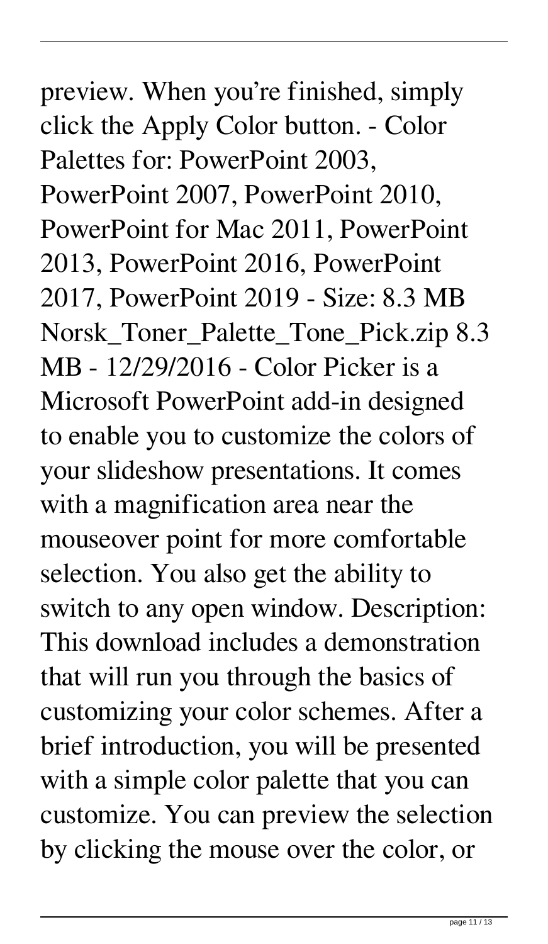preview. When you're finished, simply click the Apply Color button. - Color Palettes for: PowerPoint 2003, PowerPoint 2007, PowerPoint 2010, PowerPoint for Mac 2011, PowerPoint 2013, PowerPoint 2016, PowerPoint 2017, PowerPoint 2019 - Size: 8.3 MB Norsk\_Toner\_Palette\_Tone\_Pick.zip 8.3 MB - 12/29/2016 - Color Picker is a Microsoft PowerPoint add-in designed to enable you to customize the colors of your slideshow presentations. It comes with a magnification area near the mouseover point for more comfortable selection. You also get the ability to switch to any open window. Description: This download includes a demonstration that will run you through the basics of customizing your color schemes. After a brief introduction, you will be presented with a simple color palette that you can customize. You can preview the selection by clicking the mouse over the color, or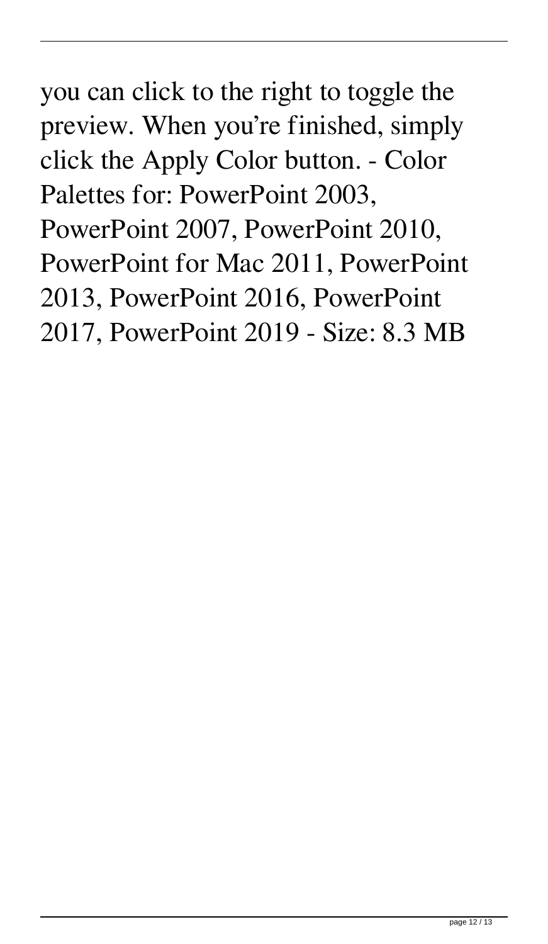you can click to the right to toggle the preview. When you're finished, simply click the Apply Color button. - Color Palettes for: PowerPoint 2003, PowerPoint 2007, PowerPoint 2010, PowerPoint for Mac 2011, PowerPoint 2013, PowerPoint 2016, PowerPoint 2017, PowerPoint 2019 - Size: 8.3 MB